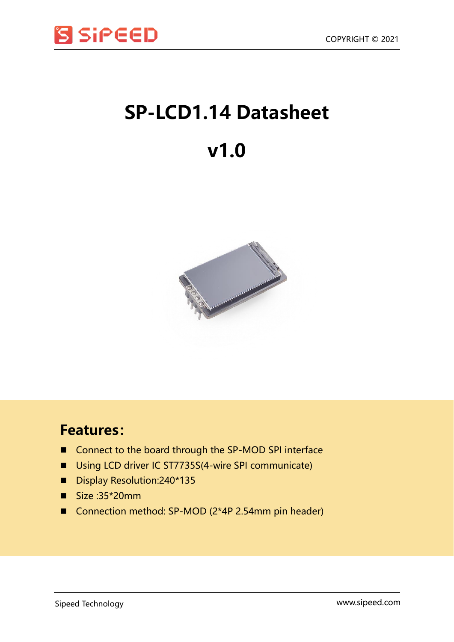

# **SP-LCD1.14 Datasheet**

## **v1.0**



### **Features:**

- Connect to the board through the SP-MOD SPI interface
- Using LCD driver IC ST7735S(4-wire SPI communicate)
- Display Resolution: 240\*135
- $\blacksquare$  Size :35\*20mm
- Connection method: SP-MOD (2\*4P 2.54mm pin header)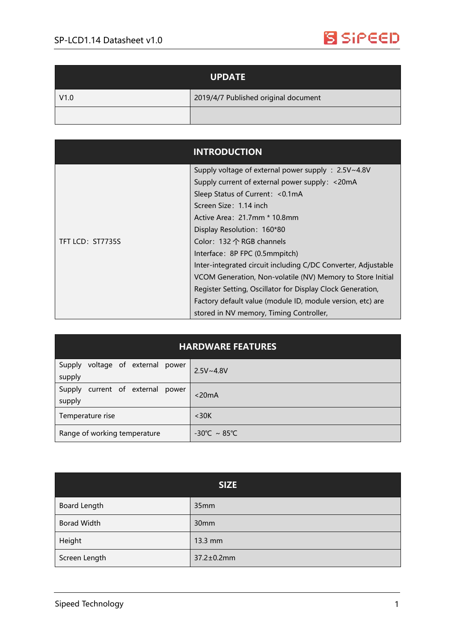

| <b>UPDATE</b> |                                      |
|---------------|--------------------------------------|
| V1.0          | 2019/4/7 Published original document |
|               |                                      |

|                  | <b>INTRODUCTION</b>                                           |
|------------------|---------------------------------------------------------------|
|                  | Supply voltage of external power supply : 2.5V~4.8V           |
|                  | Supply current of external power supply: <20mA                |
|                  | Sleep Status of Current: < 0.1 mA                             |
|                  | Screen Size: 1.14 inch                                        |
|                  | Active Area: 21.7mm * 10.8mm                                  |
|                  | Display Resolution: 160*80                                    |
| TFT LCD: ST7735S | Color: 132 个 RGB channels                                     |
|                  | Interface: 8P FPC (0.5mmpitch)                                |
|                  | Inter-integrated circuit including C/DC Converter, Adjustable |
|                  | VCOM Generation, Non-volatile (NV) Memory to Store Initial    |
|                  | Register Setting, Oscillator for Display Clock Generation,    |
|                  | Factory default value (module ID, module version, etc) are    |
|                  | stored in NV memory, Timing Controller,                       |

| <b>HARDWARE FEATURES</b>                      |                                   |  |  |
|-----------------------------------------------|-----------------------------------|--|--|
| voltage of external power<br>Supply<br>supply | $2.5V - 4.8V$                     |  |  |
| current of external power<br>Supply<br>supply | $<$ 20 $mA$                       |  |  |
| Temperature rise                              | $<$ 30K                           |  |  |
| Range of working temperature                  | $-30^{\circ}$ C ~ 85 $^{\circ}$ C |  |  |

| <b>SIZE</b>        |            |
|--------------------|------------|
| Board Length       | 35mm       |
| <b>Borad Width</b> | 30mm       |
| Height             | 13.3 mm    |
| Screen Length      | 37.2±0.2mm |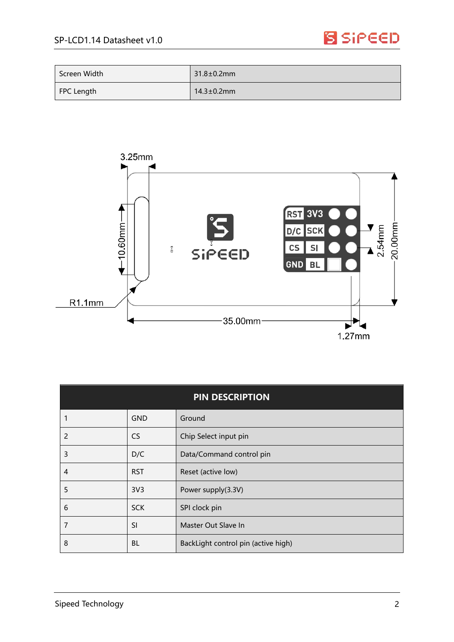### **S** SiPEED

| Screen Width | $31.8 \pm 0.2$ mm |
|--------------|-------------------|
| FPC Length   | $14.3 \pm 0.2$ mm |



| <b>PIN DESCRIPTION</b> |                 |                                     |
|------------------------|-----------------|-------------------------------------|
|                        | <b>GND</b>      | Ground                              |
| 2                      | <b>CS</b>       | Chip Select input pin               |
| 3                      | D/C             | Data/Command control pin            |
| 4                      | <b>RST</b>      | Reset (active low)                  |
| 5                      | 3V <sub>3</sub> | Power supply(3.3V)                  |
| 6                      | <b>SCK</b>      | SPI clock pin                       |
| 7                      | <b>SI</b>       | Master Out Slave In                 |
| 8                      | <b>BL</b>       | BackLight control pin (active high) |